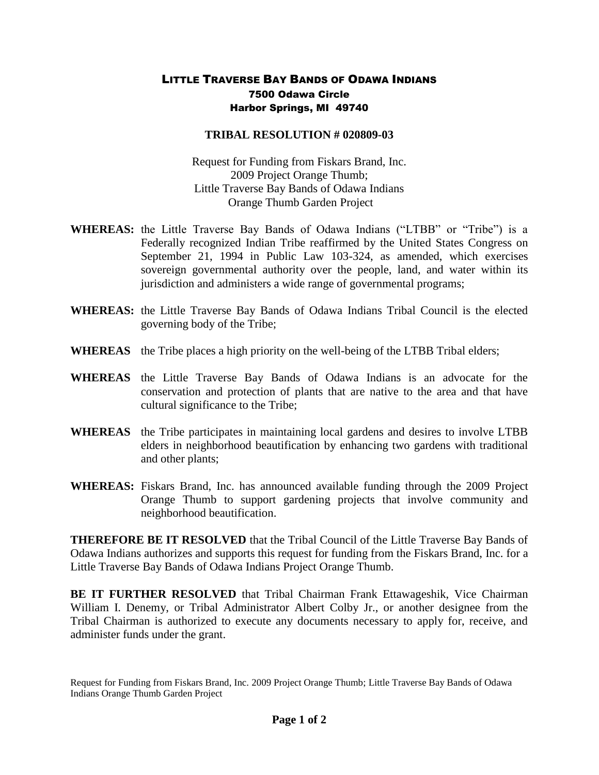## LITTLE TRAVERSE BAY BANDS OF ODAWA INDIANS 7500 Odawa Circle Harbor Springs, MI 49740

## **TRIBAL RESOLUTION # 020809-03**

Request for Funding from Fiskars Brand, Inc. 2009 Project Orange Thumb; Little Traverse Bay Bands of Odawa Indians Orange Thumb Garden Project

- **WHEREAS:** the Little Traverse Bay Bands of Odawa Indians ("LTBB" or "Tribe") is a Federally recognized Indian Tribe reaffirmed by the United States Congress on September 21, 1994 in Public Law 103-324, as amended, which exercises sovereign governmental authority over the people, land, and water within its jurisdiction and administers a wide range of governmental programs;
- **WHEREAS:** the Little Traverse Bay Bands of Odawa Indians Tribal Council is the elected governing body of the Tribe;
- **WHEREAS** the Tribe places a high priority on the well-being of the LTBB Tribal elders;
- **WHEREAS** the Little Traverse Bay Bands of Odawa Indians is an advocate for the conservation and protection of plants that are native to the area and that have cultural significance to the Tribe;
- **WHEREAS** the Tribe participates in maintaining local gardens and desires to involve LTBB elders in neighborhood beautification by enhancing two gardens with traditional and other plants;
- **WHEREAS:** Fiskars Brand, Inc. has announced available funding through the 2009 Project Orange Thumb to support gardening projects that involve community and neighborhood beautification.

**THEREFORE BE IT RESOLVED** that the Tribal Council of the Little Traverse Bay Bands of Odawa Indians authorizes and supports this request for funding from the Fiskars Brand, Inc. for a Little Traverse Bay Bands of Odawa Indians Project Orange Thumb.

**BE IT FURTHER RESOLVED** that Tribal Chairman Frank Ettawageshik, Vice Chairman William I. Denemy, or Tribal Administrator Albert Colby Jr., or another designee from the Tribal Chairman is authorized to execute any documents necessary to apply for, receive, and administer funds under the grant.

Request for Funding from Fiskars Brand, Inc. 2009 Project Orange Thumb; Little Traverse Bay Bands of Odawa Indians Orange Thumb Garden Project